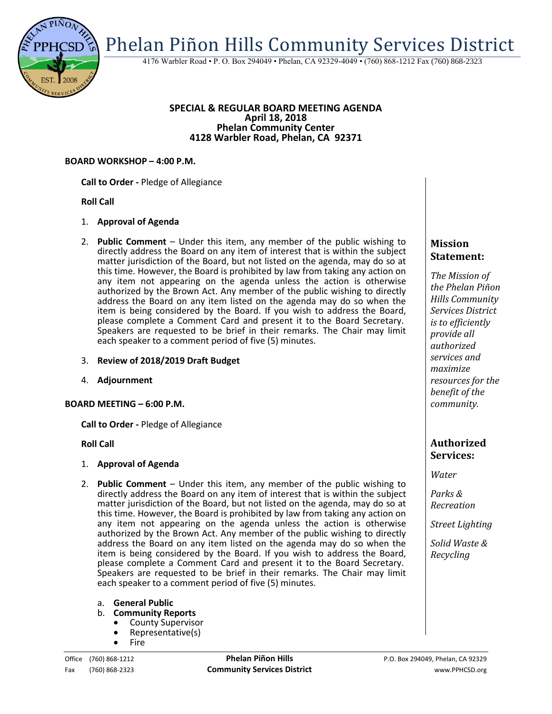

4176 Warbler Road • P. O. Box 294049 • Phelan, CA 92329-4049 • (760) 868-1212 Fax (760) 868-2323

#### **SPECIAL & REGULAR BOARD MEETING AGENDA April 18, 2018 Phelan Community Center 4128 Warbler Road, Phelan, CA 92371**

#### **BOARD WORKSHOP – 4:00 P.M.**

**Call to Order -** Pledge of Allegiance

#### **Roll Call**

### 1. **Approval of Agenda**

- 2. **Public Comment**  Under this item, any member of the public wishing to directly address the Board on any item of interest that is within the subject matter jurisdiction of the Board, but not listed on the agenda, may do so at this time. However, the Board is prohibited by law from taking any action on any item not appearing on the agenda unless the action is otherwise authorized by the Brown Act. Any member of the public wishing to directly address the Board on any item listed on the agenda may do so when the item is being considered by the Board. If you wish to address the Board, please complete a Comment Card and present it to the Board Secretary. Speakers are requested to be brief in their remarks. The Chair may limit each speaker to a comment period of five (5) minutes.
- 3. **Review of 2018/2019 Draft Budget**
- 4. **Adjournment**

### **BOARD MEETING – 6:00 P.M.**

**Call to Order -** Pledge of Allegiance

#### **Roll Call**

### 1. **Approval of Agenda**

- 2. **Public Comment**  Under this item, any member of the public wishing to directly address the Board on any item of interest that is within the subject matter jurisdiction of the Board, but not listed on the agenda, may do so at this time. However, the Board is prohibited by law from taking any action on any item not appearing on the agenda unless the action is otherwise authorized by the Brown Act. Any member of the public wishing to directly address the Board on any item listed on the agenda may do so when the item is being considered by the Board. If you wish to address the Board, please complete a Comment Card and present it to the Board Secretary. Speakers are requested to be brief in their remarks. The Chair may limit each speaker to a comment period of five (5) minutes.
	- a. **General Public**
	- b. **Community Reports**
		- County Supervisor
		- Representative(s)
		- Fire

# **Mission Statement:**

*The Mission of the Phelan Piñon Hills Community Services District is to efficiently provide all authorized services and maximize resources for the benefit of the community.*

## **Authorized Services:**

*Water*

*Parks & Recreation*

*Street Lighting*

*Solid Waste & Recycling*